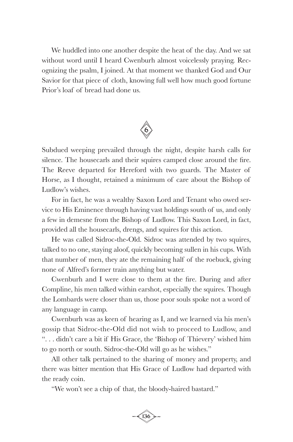We huddled into one another despite the heat of the day. And we sat without word until I heard Cwenburh almost voicelessly praying. Recognizing the psalm, I joined. At that moment we thanked God and Our Savior for that piece of cloth, knowing full well how much good fortune Prior's loaf of bread had done us.



Subdued weeping prevailed through the night, despite harsh calls for silence. The housecarls and their squires camped close around the fire. The Reeve departed for Hereford with two guards. The Master of Horse, as I thought, retained a minimum of care about the Bishop of Ludlow's wishes.

For in fact, he was a wealthy Saxon Lord and Tenant who owed service to His Eminence through having vast holdings south of us, and only a few in demesne from the Bishop of Ludlow. This Saxon Lord, in fact, provided all the housecarls, drengs, and squires for this action.

He was called Sidroc-the-Old. Sidroc was attended by two squires, talked to no one, staying aloof, quickly becoming sullen in his cups. With that number of men, they ate the remaining half of the roebuck, giving none of Alfred's former train anything but water.

Cwenburh and I were close to them at the fire. During and after Compline, his men talked within earshot, especially the squires. Though the Lombards were closer than us, those poor souls spoke not a word of any language in camp.

Cwenburh was as keen of hearing as I, and we learned via his men's gossip that Sidroc-the-Old did not wish to proceed to Ludlow, and ". . . didn't care a bit if His Grace, the 'Bishop of Thievery' wished him to go north or south. Sidroc-the-Old will go as he wishes."

All other talk pertained to the sharing of money and property, and there was bitter mention that His Grace of Ludlow had departed with the ready coin.

"We won't see a chip of that, the bloody-haired bastard."

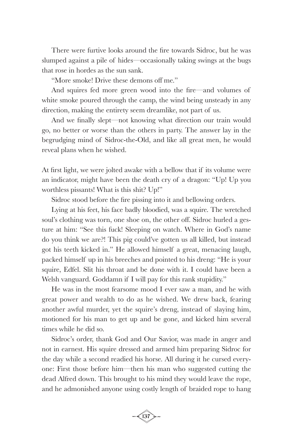There were furtive looks around the fire towards Sidroc, but he was slumped against a pile of hides—occasionally taking swings at the bugs that rose in hordes as the sun sank.

"More smoke! Drive these demons off me."

And squires fed more green wood into the fire—and volumes of white smoke poured through the camp, the wind being unsteady in any direction, making the entirety seem dreamlike, not part of us.

And we finally slept—not knowing what direction our train would go, no better or worse than the others in party. The answer lay in the begrudging mind of Sidroc-the-Old, and like all great men, he would reveal plans when he wished.

At first light, we were jolted awake with a bellow that if its volume were an indicator, might have been the death cry of a dragon: "Up! Up you worthless pissants! What is this shit? Up!"

Sidroc stood before the fire pissing into it and bellowing orders.

Lying at his feet, his face badly bloodied, was a squire. The wretched soul's clothing was torn, one shoe on, the other off. Sidroc hurled a gesture at him: "See this fuck! Sleeping on watch. Where in God's name do you think we are?! This pig could've gotten us all killed, but instead got his teeth kicked in." He allowed himself a great, menacing laugh, packed himself up in his breeches and pointed to his dreng: "He is your squire, Edfel. Slit his throat and be done with it. I could have been a Welsh vanguard. Goddamn if I will pay for this rank stupidity."

He was in the most fearsome mood I ever saw a man, and he with great power and wealth to do as he wished. We drew back, fearing another awful murder, yet the squire's dreng, instead of slaying him, motioned for his man to get up and be gone, and kicked him several times while he did so.

Sidroc's order, thank God and Our Savior, was made in anger and not in earnest. His squire dressed and armed him preparing Sidroc for the day while a second readied his horse. All during it he cursed everyone: First those before him—then his man who suggested cutting the dead Alfred down. This brought to his mind they would leave the rope, and he admonished anyone using costly length of braided rope to hang

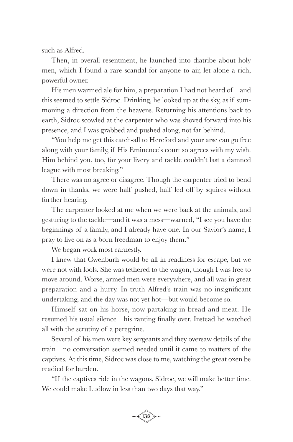such as Alfred.

Then, in overall resentment, he launched into diatribe about holy men, which I found a rare scandal for anyone to air, let alone a rich, powerful owner.

His men warmed ale for him, a preparation I had not heard of—and this seemed to settle Sidroc. Drinking, he looked up at the sky, as if summoning a direction from the heavens. Returning his attentions back to earth, Sidroc scowled at the carpenter who was shoved forward into his presence, and I was grabbed and pushed along, not far behind.

"You help me get this catch-all to Hereford and your arse can go free along with your family, if His Eminence's court so agrees with my wish. Him behind you, too, for your livery and tackle couldn't last a damned league with most breaking."

There was no agree or disagree. Though the carpenter tried to bend down in thanks, we were half pushed, half led off by squires without further hearing.

The carpenter looked at me when we were back at the animals, and gesturing to the tackle—and it was a mess—warned, "I see you have the beginnings of a family, and I already have one. In our Savior's name, I pray to live on as a born freedman to enjoy them."

We began work most earnestly.

I knew that Cwenburh would be all in readiness for escape, but we were not with fools. She was tethered to the wagon, though I was free to move around. Worse, armed men were everywhere, and all was in great preparation and a hurry. In truth Alfred's train was no insignificant undertaking, and the day was not yet hot—but would become so.

Himself sat on his horse, now partaking in bread and meat. He resumed his usual silence—his ranting finally over. Instead he watched all with the scrutiny of a peregrine.

Several of his men were key sergeants and they oversaw details of the train—no conversation seemed needed until it came to matters of the captives. At this time, Sidroc was close to me, watching the great oxen be readied for burden.

"If the captives ride in the wagons, Sidroc, we will make better time. We could make Ludlow in less than two days that way."

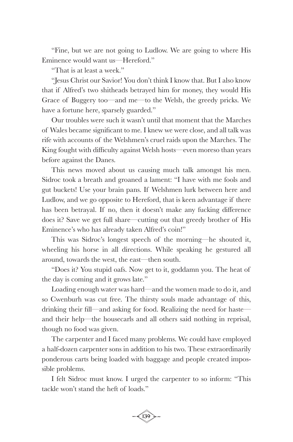"Fine, but we are not going to Ludlow. We are going to where His Eminence would want us—Hereford."

"That is at least a week."

"Jesus Christ our Savior! You don't think I know that. But I also know that if Alfred's two shitheads betrayed him for money, they would His Grace of Buggery too—and me—to the Welsh, the greedy pricks. We have a fortune here, sparsely guarded."

Our troubles were such it wasn't until that moment that the Marches of Wales became significant to me. I knew we were close, and all talk was rife with accounts of the Welshmen's cruel raids upon the Marches. The King fought with difficulty against Welsh hosts—even moreso than years before against the Danes.

This news moved about us causing much talk amongst his men. Sidroc took a breath and groaned a lament: "I have with me fools and gut buckets! Use your brain pans. If Welshmen lurk between here and Ludlow, and we go opposite to Hereford, that is keen advantage if there has been betrayal. If no, then it doesn't make any fucking difference does it? Save we get full share—cutting out that greedy brother of His Eminence's who has already taken Alfred's coin!"

This was Sidroc's longest speech of the morning—he shouted it, wheeling his horse in all directions. While speaking he gestured all around, towards the west, the east—then south.

"Does it? You stupid oafs. Now get to it, goddamn you. The heat of the day is coming and it grows late."

Loading enough water was hard—and the women made to do it, and so Cwenburh was cut free. The thirsty souls made advantage of this, drinking their fill—and asking for food. Realizing the need for haste and their help—the housecarls and all others said nothing in reprisal, though no food was given.

The carpenter and I faced many problems. We could have employed a half-dozen carpenter sons in addition to his two. These extraordinarily ponderous carts being loaded with baggage and people created impossible problems.

I felt Sidroc must know. I urged the carpenter to so inform: "This tackle won't stand the heft of loads."

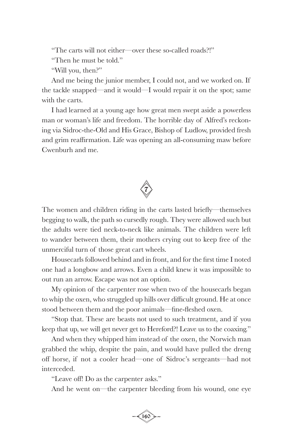"The carts will not either—over these so-called roads?!"

"Then he must be told."

"Will you, then?"

And me being the junior member, I could not, and we worked on. If the tackle snapped—and it would—I would repair it on the spot; same with the carts.

I had learned at a young age how great men swept aside a powerless man or woman's life and freedom. The horrible day of Alfred's reckoning via Sidroc-the-Old and His Grace, Bishop of Ludlow, provided fresh and grim reaffirmation. Life was opening an all-consuming maw before Cwenburh and me.



The women and children riding in the carts lasted briefly—themselves begging to walk, the path so cursedly rough. They were allowed such but the adults were tied neck-to-neck like animals. The children were left to wander between them, their mothers crying out to keep free of the unmerciful turn of those great cart wheels.

Housecarls followed behind and in front, and for the first time I noted one had a longbow and arrows. Even a child knew it was impossible to out run an arrow. Escape was not an option.

My opinion of the carpenter rose when two of the housecarls began to whip the oxen, who struggled up hills over difficult ground. He at once stood between them and the poor animals—fine-fleshed oxen.

"Stop that. These are beasts not used to such treatment, and if you keep that up, we will get never get to Hereford?! Leave us to the coaxing."

And when they whipped him instead of the oxen, the Norwich man grabbed the whip, despite the pain, and would have pulled the dreng off horse, if not a cooler head—one of Sidroc's sergeants—had not interceded.

"Leave off! Do as the carpenter asks."

And he went on—the carpenter bleeding from his wound, one eye

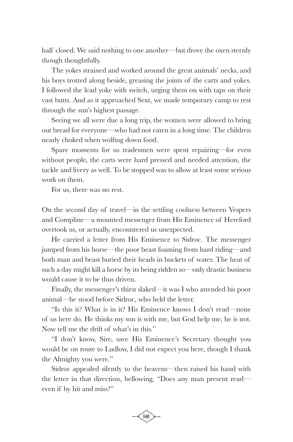half closed. We said nothing to one another—but drove the oxen sternly though thoughtfully.

The yokes strained and worked around the great animals' necks, and his boys trotted along beside, greasing the joints of the carts and yokes. I followed the lead yoke with switch, urging them on with taps on their vast butts. And as it approached Sext, we made temporary camp to rest through the sun's highest passage.

Seeing we all were due a long trip, the women were allowed to bring out bread for everyone—who had not eaten in a long time. The children nearly choked when wolfing down food.

Spare moments for us tradesmen were spent repairing—for even without people, the carts were hard pressed and needed attention, the tackle and livery as well. To be stopped was to allow at least some serious work on them.

For us, there was no rest.

On the second day of travel—in the settling coolness between Vespers and Compline—a mounted messenger from His Eminence of Hereford overtook us, or actually, encountered us unexpected.

He carried a letter from His Eminence to Sidroc. The messenger jumped from his horse—the poor beast foaming from hard riding—and both man and beast buried their heads in buckets of water. The heat of such a day might kill a horse by its being ridden so—only drastic business would cause it to be thus driven.

Finally, the messenger's thirst slaked—it was I who attended his poor animal—he stood before Sidroc, who held the letter.

"Is this it? What is in it? His Eminence knows I don't read—none of us here do. He thinks my son is with me, but God help me, he is not. Now tell me the drift of what's in this."

"I don't know, Sire, save His Eminence's Secretary thought you would be on route to Ludlow, I did not expect you here, though I thank the Almighty you were."

Sidroc appealed silently to the heavens—then raised his hand with the letter in that direction, bellowing, "Does any man present read even if by hit and miss?"

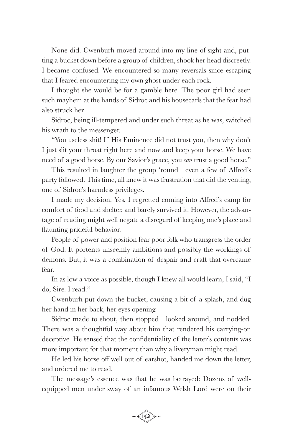None did. Cwenburh moved around into my line-of-sight and, putting a bucket down before a group of children, shook her head discreetly. I became confused. We encountered so many reversals since escaping that I feared encountering my own ghost under each rock.

I thought she would be for a gamble here. The poor girl had seen such mayhem at the hands of Sidroc and his housecarls that the fear had also struck her.

Sidroc, being ill-tempered and under such threat as he was, switched his wrath to the messenger.

"You useless shit! If His Eminence did not trust you, then why don't I just slit your throat right here and now and keep your horse. We have need of a good horse. By our Savior's grace, you *can* trust a good horse."

This resulted in laughter the group 'round—even a few of Alfred's party followed. This time, all knew it was frustration that did the venting, one of Sidroc's harmless privileges.

I made my decision. Yes, I regretted coming into Alfred's camp for comfort of food and shelter, and barely survived it. However, the advantage of reading might well negate a disregard of keeping one's place and flaunting prideful behavior.

People of power and position fear poor folk who transgress the order of God. It portents unseemly ambitions and possibly the workings of demons. But, it was a combination of despair and craft that overcame fear.

In as low a voice as possible, though I knew all would learn, I said, "I do, Sire. I read."

Cwenburh put down the bucket, causing a bit of a splash, and dug her hand in her back, her eyes opening.

Sidroc made to shout, then stopped—looked around, and nodded. There was a thoughtful way about him that rendered his carrying-on deceptive. He sensed that the confidentiality of the letter's contents was more important for that moment than why a liveryman might read.

He led his horse off well out of earshot, handed me down the letter, and ordered me to read.

The message's essence was that he was betrayed: Dozens of wellequipped men under sway of an infamous Welsh Lord were on their

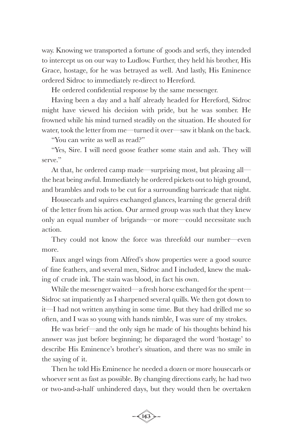way. Knowing we transported a fortune of goods and serfs, they intended to intercept us on our way to Ludlow. Further, they held his brother, His Grace, hostage, for he was betrayed as well. And lastly, His Eminence ordered Sidroc to immediately re-direct to Hereford.

He ordered confidential response by the same messenger.

Having been a day and a half already headed for Hereford, Sidroc might have viewed his decision with pride, but he was somber. He frowned while his mind turned steadily on the situation. He shouted for water, took the letter from me—turned it over—saw it blank on the back.

"You can write as well as read?"

"Yes, Sire. I will need goose feather some stain and ash. They will serve."

At that, he ordered camp made—surprising most, but pleasing all the heat being awful. Immediately he ordered pickets out to high ground, and brambles and rods to be cut for a surrounding barricade that night.

Housecarls and squires exchanged glances, learning the general drift of the letter from his action. Our armed group was such that they knew only an equal number of brigands—or more—could necessitate such action.

They could not know the force was threefold our number—even more.

Faux angel wings from Alfred's show properties were a good source of fine feathers, and several men, Sidroc and I included, knew the making of crude ink. The stain was blood, in fact his own.

While the messenger waited—a fresh horse exchanged for the spent— Sidroc sat impatiently as I sharpened several quills. We then got down to it—I had not written anything in some time. But they had drilled me so often, and I was so young with hands nimble, I was sure of my strokes.

He was brief—and the only sign he made of his thoughts behind his answer was just before beginning; he disparaged the word 'hostage' to describe His Eminence's brother's situation, and there was no smile in the saying of it.

Then he told His Eminence he needed a dozen or more housecarls or whoever sent as fast as possible. By changing directions early, he had two or two-and-a-half unhindered days, but they would then be overtaken

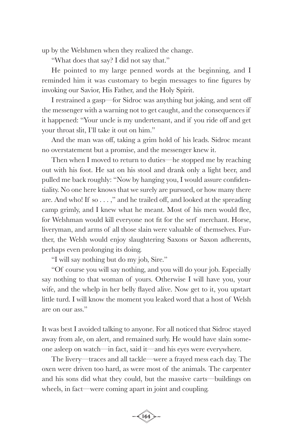up by the Welshmen when they realized the change.

"What does that say? I did not say that."

He pointed to my large penned words at the beginning, and I reminded him it was customary to begin messages to fine figures by invoking our Savior, His Father, and the Holy Spirit.

I restrained a gasp—for Sidroc was anything but joking, and sent off the messenger with a warning not to get caught, and the consequences if it happened: "Your uncle is my undertenant, and if you ride off and get your throat slit, I'll take it out on him."

And the man was off, taking a grim hold of his leads. Sidroc meant no overstatement but a promise, and the messenger knew it.

Then when I moved to return to duties—he stopped me by reaching out with his foot. He sat on his stool and drank only a light beer, and pulled me back roughly: "Now by hanging you, I would assure confidentiality. No one here knows that we surely are pursued, or how many there are. And who! If so . . . ," and he trailed off, and looked at the spreading camp grimly, and I knew what he meant. Most of his men would flee, for Welshman would kill everyone not fit for the serf merchant. Horse, liveryman, and arms of all those slain were valuable of themselves. Further, the Welsh would enjoy slaughtering Saxons or Saxon adherents, perhaps even prolonging its doing.

"I will say nothing but do my job, Sire."

"Of course you will say nothing, and you will do your job. Especially say nothing to that woman of yours. Otherwise I will have you, your wife, and the whelp in her belly flayed alive. Now get to it, you upstart little turd. I will know the moment you leaked word that a host of Welsh are on our ass."

It was best I avoided talking to anyone. For all noticed that Sidroc stayed away from ale, on alert, and remained surly. He would have slain someone asleep on watch—in fact, said it—and his eyes were everywhere.

The livery—traces and all tackle—were a frayed mess each day. The oxen were driven too hard, as were most of the animals. The carpenter and his sons did what they could, but the massive carts—buildings on wheels, in fact—were coming apart in joint and coupling.

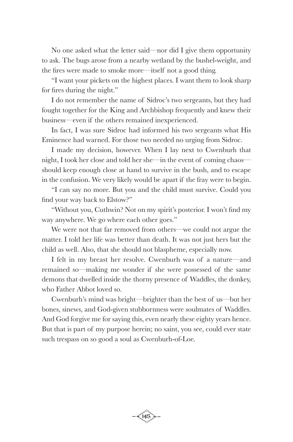No one asked what the letter said—nor did I give them opportunity to ask. The bugs arose from a nearby wetland by the bushel-weight, and the fires were made to smoke more—itself not a good thing.

"I want your pickets on the highest places. I want them to look sharp for fires during the night."

I do not remember the name of Sidroc's two sergeants, but they had fought together for the King and Archbishop frequently and knew their business—even if the others remained inexperienced.

In fact, I was sure Sidroc had informed his two sergeants what His Eminence had warned. For those two needed no urging from Sidroc.

I made my decision, however. When I lay next to Cwenburh that night, I took her close and told her she—in the event of coming chaos should keep enough close at hand to survive in the bush, and to escape in the confusion. We very likely would be apart if the fray were to begin.

"I can say no more. But you and the child must survive. Could you find your way back to Elstow?"

"Without you, Cuthwin? Not on my spirit's posterior. I won't find my way anywhere. We go where each other goes."

We were not that far removed from others—we could not argue the matter. I told her life was better than death. It was not just hers but the child as well. Also, that she should not blaspheme, especially now.

I felt in my breast her resolve. Cwenburh was of a nature—and remained so—making me wonder if she were possessed of the same demons that dwelled inside the thorny presence of Waddles, the donkey, who Father Abbot loved so.

Cwenburh's mind was bright—brighter than the best of us—but her bones, sinews, and God-given stubbornness were soulmates of Waddles. And God forgive me for saying this, even nearly these eighty years hence. But that is part of my purpose herein; no saint, you see, could ever state such trespass on so good a soul as Cwenburh-of-Loe.

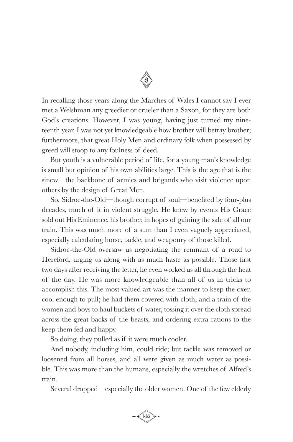

In recalling those years along the Marches of Wales I cannot say I ever met a Welshman any greedier or crueler than a Saxon, for they are both God's creations. However, I was young, having just turned my nineteenth year. I was not yet knowledgeable how brother will betray brother; furthermore, that great Holy Men and ordinary folk when possessed by greed will stoop to any foulness of deed.

But youth is a vulnerable period of life, for a young man's knowledge is small but opinion of his own abilities large. This is the age that is the sinew—the backbone of armies and brigands who visit violence upon others by the design of Great Men.

So, Sidroc-the-Old—though corrupt of soul—benefited by four-plus decades, much of it in violent struggle. He knew by events His Grace sold out His Eminence, his brother, in hopes of gaining the sale of all our train. This was much more of a sum than I even vaguely appreciated, especially calculating horse, tackle, and weaponry of those killed.

Sidroc-the-Old oversaw us negotiating the remnant of a road to Hereford, urging us along with as much haste as possible. Those first two days after receiving the letter, he even worked us all through the heat of the day. He was more knowledgeable than all of us in tricks to accomplish this. The most valued art was the manner to keep the oxen cool enough to pull; he had them covered with cloth, and a train of the women and boys to haul buckets of water, tossing it over the cloth spread across the great backs of the beasts, and ordering extra rations to the keep them fed and happy.

So doing, they pulled as if it were much cooler.

And nobody, including him, could ride; but tackle was removed or loosened from all horses, and all were given as much water as possible. This was more than the humans, especially the wretches of Alfred's train.

Several dropped—especially the older women. One of the few elderly

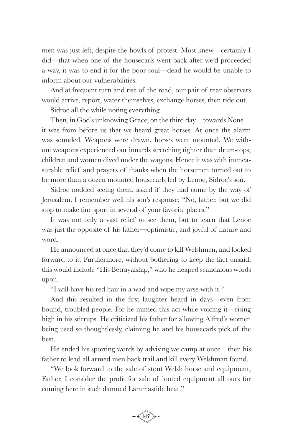men was just left, despite the howls of protest. Most knew—certainly I did—that when one of the housecarls went back after we'd proceeded a way, it was to end it for the poor soul—dead he would be unable to inform about our vulnerabilities.

And at frequent turn and rise of the road, our pair of rear observers would arrive, report, water themselves, exchange horses, then ride out.

Sidroc all the while noting everything.

Then, in God's unknowing Grace, on the third day—towards None it was from before us that we heard great horses. At once the alarm was sounded. Weapons were drawn, horses were mounted. We without weapons experienced our innards stretching tighter than drum-tops; children and women dived under the wagons. Hence it was with immeasurable relief and prayers of thanks when the horsemen turned out to be more than a dozen mounted housecarls led by Lenoc, Sidroc's son.

Sidroc nodded seeing them, asked if they had come by the way of Jerusalem. I remember well his son's response: "No, father, but we did stop to make fine sport in several of your favorite places."

It was not only a vast relief to see them, but to learn that Lenoc was just the opposite of his father—optimistic, and joyful of nature and word.

He announced at once that they'd come to kill Welshmen, and looked forward to it. Furthermore, without bothering to keep the fact unsaid, this would include "His Betrayalship," who he heaped scandalous words upon.

"I will have his red hair in a wad and wipe my arse with it."

And this resulted in the first laughter heard in days—even from bound, troubled people. For he mimed this act while voicing it—rising high in his stirrups. He criticized his father for allowing Alfred's women being used so thoughtlessly, claiming he and his housecarls pick of the best.

He ended his sporting words by advising we camp at once—then his father to lead all armed men back trail and kill every Welshman found.

"We look forward to the sale of stout Welsh horse and equipment, Father. I consider the profit for sale of looted equipment all ours for coming here in such damned Lammastide heat."

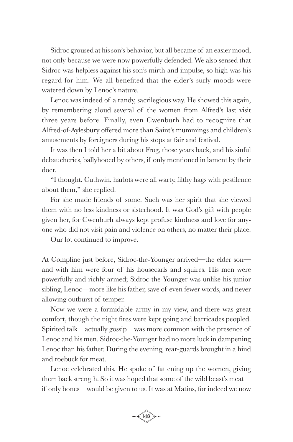Sidroc groused at his son's behavior, but all became of an easier mood, not only because we were now powerfully defended. We also sensed that Sidroc was helpless against his son's mirth and impulse, so high was his regard for him. We all benefited that the elder's surly moods were watered down by Lenoc's nature.

Lenoc was indeed of a randy, sacrilegious way. He showed this again, by remembering aloud several of the women from Alfred's last visit three years before. Finally, even Cwenburh had to recognize that Alfred-of-Aylesbury offered more than Saint's mummings and children's amusements by foreigners during his stops at fair and festival.

It was then I told her a bit about Frog, those years back, and his sinful debaucheries, ballyhooed by others, if only mentioned in lament by their doer.

"I thought, Cuthwin, harlots were all warty, filthy hags with pestilence about them," she replied.

For she made friends of some. Such was her spirit that she viewed them with no less kindness or sisterhood. It was God's gift with people given her, for Cwenburh always kept profuse kindness and love for anyone who did not visit pain and violence on others, no matter their place.

Our lot continued to improve.

At Compline just before, Sidroc-the-Younger arrived—the elder son and with him were four of his housecarls and squires. His men were powerfully and richly armed; Sidroc-the-Younger was unlike his junior sibling, Lenoc—more like his father, save of even fewer words, and never allowing outburst of temper.

Now we were a formidable army in my view, and there was great comfort, though the night fires were kept going and barricades peopled. Spirited talk—actually gossip—was more common with the presence of Lenoc and his men. Sidroc-the-Younger had no more luck in dampening Lenoc than his father. During the evening, rear-guards brought in a hind and roebuck for meat.

Lenoc celebrated this. He spoke of fattening up the women, giving them back strength. So it was hoped that some of the wild beast's meat if only bones—would be given to us. It was at Matins, for indeed we now

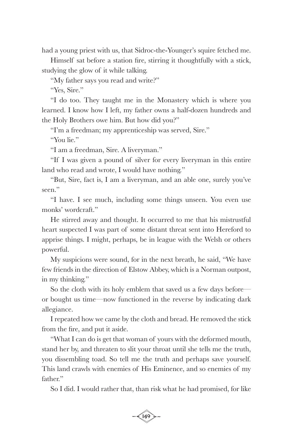had a young priest with us, that Sidroc-the-Younger's squire fetched me.

Himself sat before a station fire, stirring it thoughtfully with a stick, studying the glow of it while talking.

"My father says you read and write?"

"Yes, Sire."

"I do too. They taught me in the Monastery which is where you learned. I know how I left, my father owns a half-dozen hundreds and the Holy Brothers owe him. But how did you?"

"I'm a freedman; my apprenticeship was served, Sire."

"You lie."

"I am a freedman, Sire. A liveryman."

"If I was given a pound of silver for every liveryman in this entire land who read and wrote, I would have nothing."

"But, Sire, fact is, I am a liveryman, and an able one, surely you've seen."

"I have. I see much, including some things unseen. You even use monks' wordcraft."

He stirred away and thought. It occurred to me that his mistrustful heart suspected I was part of some distant threat sent into Hereford to apprise things. I might, perhaps, be in league with the Welsh or others powerful.

My suspicions were sound, for in the next breath, he said, "We have few friends in the direction of Elstow Abbey, which is a Norman outpost, in my thinking."

So the cloth with its holy emblem that saved us a few days before or bought us time—now functioned in the reverse by indicating dark allegiance.

I repeated how we came by the cloth and bread. He removed the stick from the fire, and put it aside.

"What I can do is get that woman of yours with the deformed mouth, stand her by, and threaten to slit your throat until she tells me the truth, you dissembling toad. So tell me the truth and perhaps save yourself. This land crawls with enemies of His Eminence, and so enemies of my father."

So I did. I would rather that, than risk what he had promised, for like

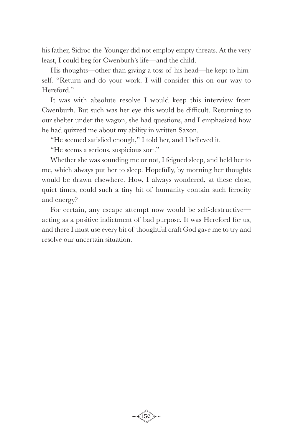his father, Sidroc-the-Younger did not employ empty threats. At the very least, I could beg for Cwenburh's life—and the child.

His thoughts—other than giving a toss of his head—he kept to himself. "Return and do your work. I will consider this on our way to Hereford."

It was with absolute resolve I would keep this interview from Cwenburh. But such was her eye this would be difficult. Returning to our shelter under the wagon, she had questions, and I emphasized how he had quizzed me about my ability in written Saxon.

"He seemed satisfied enough," I told her, and I believed it.

"He seems a serious, suspicious sort."

Whether she was sounding me or not, I feigned sleep, and held her to me, which always put her to sleep. Hopefully, by morning her thoughts would be drawn elsewhere. How, I always wondered, at these close, quiet times, could such a tiny bit of humanity contain such ferocity and energy?

For certain, any escape attempt now would be self-destructive acting as a positive indictment of bad purpose. It was Hereford for us, and there I must use every bit of thoughtful craft God gave me to try and resolve our uncertain situation.